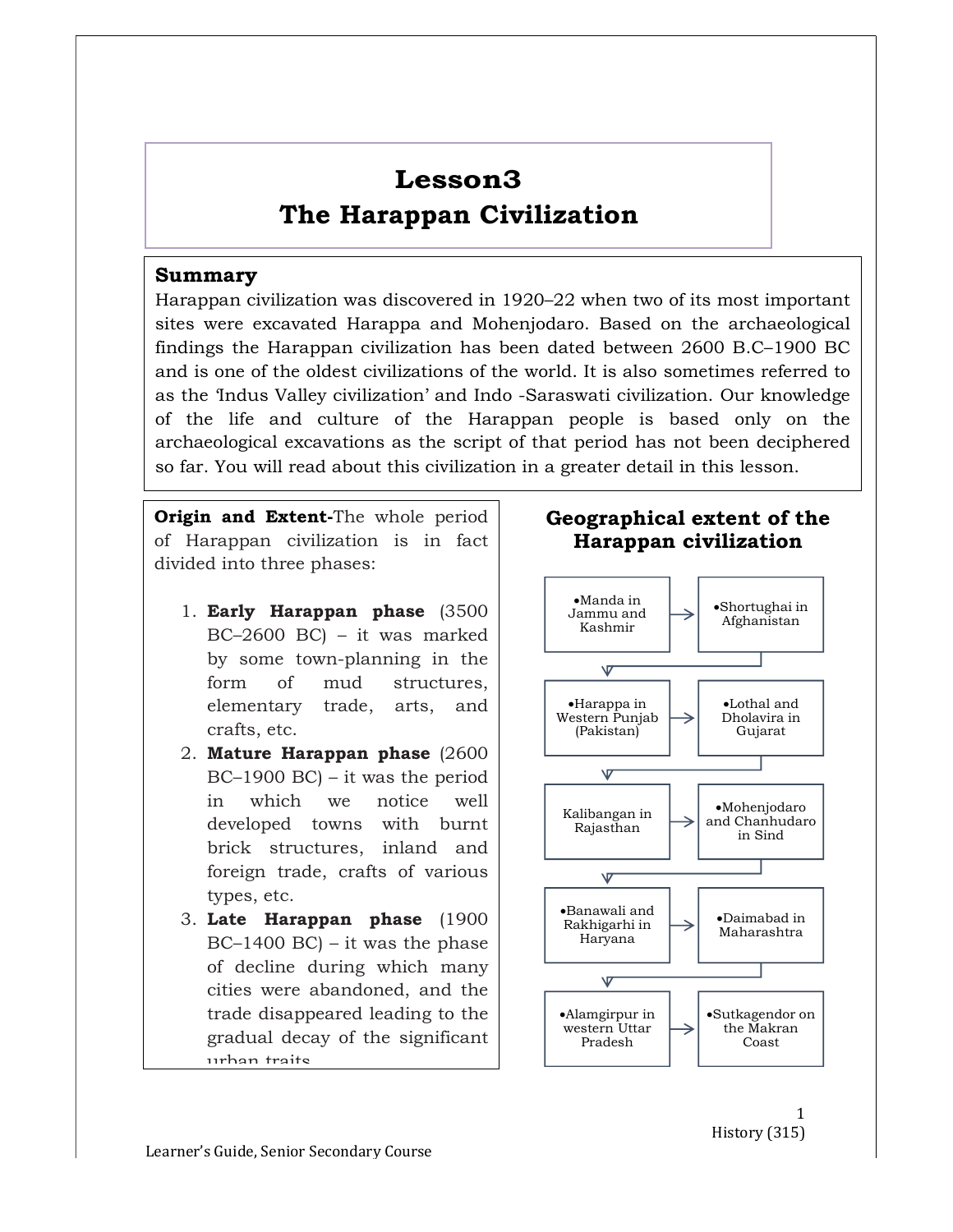# Lesson3 The Harappan Civilization

#### Summary

Harappan civilization was discovered in 1920–22 when two of its most important sites were excavated Harappa and Mohenjodaro. Based on the archaeological findings the Harappan civilization has been dated between 2600 B.C–1900 BC and is one of the oldest civilizations of the world. It is also sometimes referred to as the 'Indus Valley civilization' and Indo -Saraswati civilization. Our knowledge of the life and culture of the Harappan people is based only on the archaeological excavations as the script of that period has not been deciphered so far. You will read about this civilization in a greater detail in this lesson.

Origin and Extent-The whole period of Harappan civilization is in fact divided into three phases:

- 1. Early Harappan phase (3500 BC–2600 BC) – it was marked by some town-planning in the  $\sqrt{\frac{1}{\sqrt{2}}}$ form of mud structures, elementary trade, arts, and crafts, etc.
- 2. Mature Harappan phase (2600 BC–1900 BC) – it was the period in which we notice well developed towns with burnt brick structures, inland and foreign trade, crafts of various  $\sqrt{ }$ types, etc.
- 3. Late Harappan phase (1900  $BC-1400 BC$  – it was the phase of decline during which many  $\sqrt{\frac{1}{\sqrt{2}}}$ cities were abandoned, and the trade disappeared leading to the |  $\blacksquare$  • Alamgirpur in gradual decay of the significant urban traits.



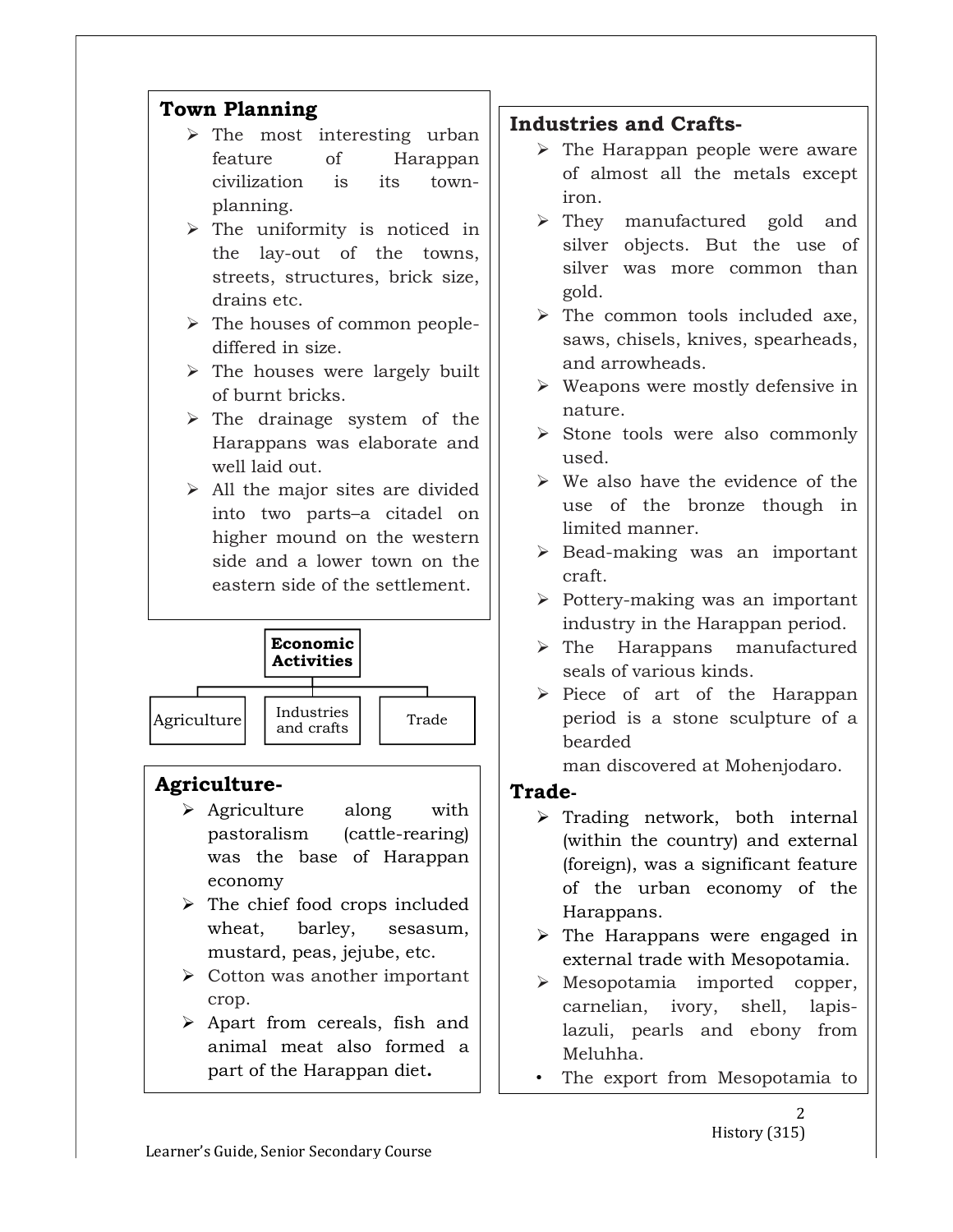

- $\triangleright$  The most interesting urban feature of Harappan civilization is its townplanning.
- $\triangleright$  The uniformity is noticed in the lay-out of the towns, streets, structures, brick size, drains etc.
- $\triangleright$  The houses of common peoplediffered in size.
- $\triangleright$  The houses were largely built of burnt bricks.
- $\triangleright$  The drainage system of the Harappans was elaborate and well laid out.
- $\triangleright$  All the major sites are divided into two parts–a citadel on higher mound on the western side and a lower town on the eastern side of the settlement.



# Agriculture-

- $\triangleright$  Agriculture along with pastoralism (cattle-rearing) was the base of Harappan economy
- $\triangleright$  The chief food crops included wheat, barley, sesasum, mustard, peas, jejube, etc.
- $\triangleright$  Cotton was another important crop.
- $\triangleright$  Apart from cereals, fish and animal meat also formed a part of the Harappan diet.

# Industries and Crafts-

- $\triangleright$  The Harappan people were aware of almost all the metals except iron.
- > They manufactured gold and silver objects. But the use of silver was more common than gold.
- $\triangleright$  The common tools included axe, saws, chisels, knives, spearheads, and arrowheads.
- $\triangleright$  Weapons were mostly defensive in nature.
- $\triangleright$  Stone tools were also commonly used.
- $\triangleright$  We also have the evidence of the use of the bronze though in limited manner.
- $\triangleright$  Bead-making was an important craft.
- $\triangleright$  Pottery-making was an important industry in the Harappan period.
- $\triangleright$  The Harappans manufactured seals of various kinds.
- $\begin{array}{c|c|c|c|c} \text{matrix} & \text{triangle} & \text{true} & \text{period} & \text{is a stone sculpture of a} \end{array}$  $\triangleright$  Piece of art of the Harappan bearded

man discovered at Mohenjodaro.

# Trade-

- $\triangleright$  Trading network, both internal (within the country) and external (foreign), was a significant feature of the urban economy of the Harappans.
- $\triangleright$  The Harappans were engaged in external trade with Mesopotamia.
- Mesopotamia imported copper, carnelian, ivory, shell, lapislazuli, pearls and ebony from Meluhha.
- The export from Mesopotamia to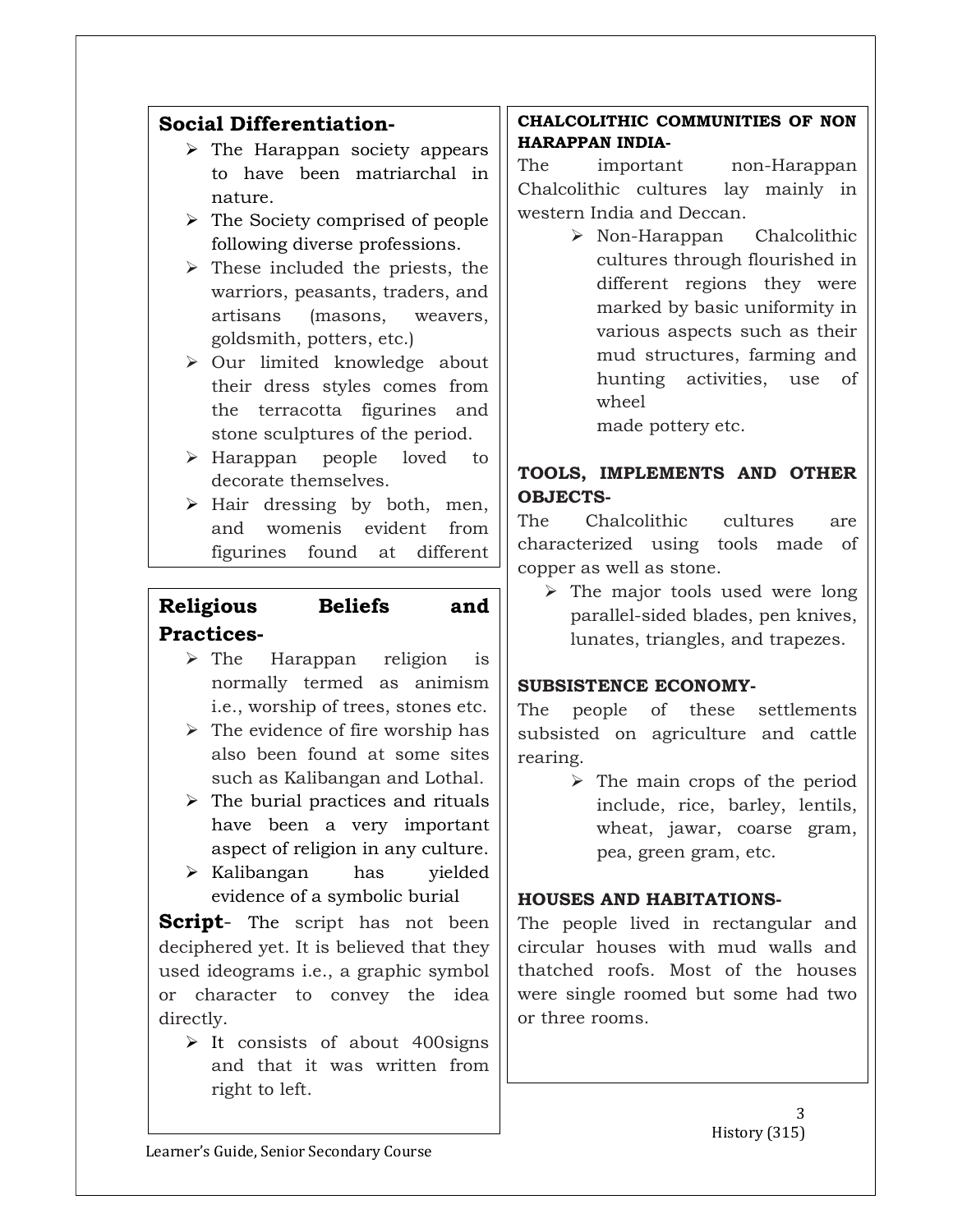## Social Differentiation-

- $\triangleright$  The Harappan society appears to have been matriarchal in nature.
- $\triangleright$  The Society comprised of people following diverse professions.
- $\triangleright$  These included the priests, the warriors, peasants, traders, and artisans (masons, weavers, goldsmith, potters, etc.)
- $\triangleright$  Our limited knowledge about their dress styles comes from the terracotta figurines and stone sculptures of the period.
- Harappan people loved to decorate themselves.
- $\triangleright$  Hair dressing by both, men, and womenis evident from figurines found at different

# Religious Beliefs and Practices-

- $\triangleright$  The Harappan religion is normally termed as animism i.e., worship of trees, stones etc.
- $\triangleright$  The evidence of fire worship has also been found at some sites such as Kalibangan and Lothal.
- $\triangleright$  The burial practices and rituals have been a very important aspect of religion in any culture.
- $\triangleright$  Kalibangan has yielded evidence of a symbolic burial

**Script**- The script has not been deciphered yet. It is believed that they used ideograms i.e., a graphic symbol or character to convey the idea directly.

 $\triangleright$  It consists of about 400 signs and that it was written from right to left.

#### CHALCOLITHIC COMMUNITIES OF NON HARAPPAN INDIA-

The important non-Harappan Chalcolithic cultures lay mainly in western India and Deccan.

> $\triangleright$  Non-Harappan Chalcolithic cultures through flourished in different regions they were marked by basic uniformity in various aspects such as their mud structures, farming and hunting activities, use of wheel

made pottery etc.

## TOOLS, IMPLEMENTS AND OTHER OBJECTS-

The Chalcolithic cultures are characterized using tools made of copper as well as stone.

 $\triangleright$  The major tools used were long parallel-sided blades, pen knives, lunates, triangles, and trapezes.

#### SUBSISTENCE ECONOMY-

The people of these settlements subsisted on agriculture and cattle rearing.

> $\triangleright$  The main crops of the period include, rice, barley, lentils, wheat, jawar, coarse gram, pea, green gram, etc.

#### HOUSES AND HABITATIONS-

The people lived in rectangular and circular houses with mud walls and thatched roofs. Most of the houses were single roomed but some had two or three rooms.

> 3 History (315)